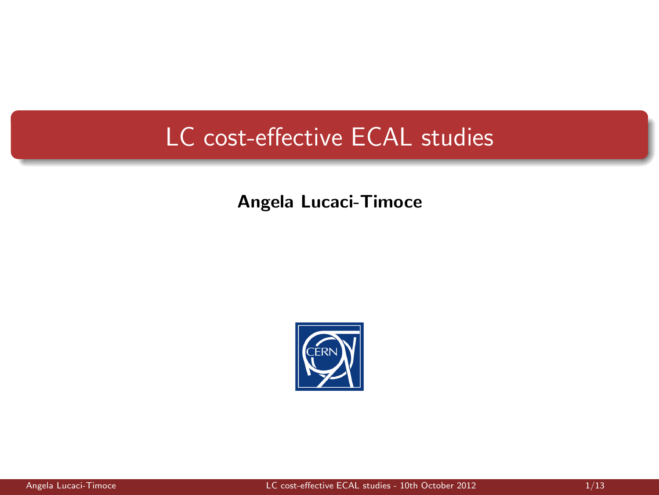# LC cost-effective ECAL studies

#### Angela Lucaci-Timoce

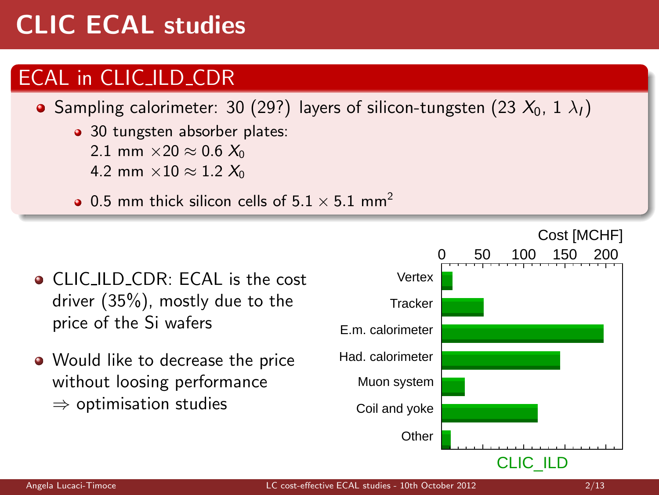# CLIC ECAL studies

### ECAL in CLIC ILD CDR

**•** Sampling calorimeter: 30 (29?) layers of silicon-tungsten (23  $X_0$ , 1  $\lambda_1$ )

- 30 tungsten absorber plates:
	- 2.1 mm  $\times$  20  $\approx$  0.6  $X_0$
	- 4.2 mm  $\times$  10  $\approx$  1.2  $X_0$
- 0.5 mm thick silicon cells of  $5.1 \times 5.1$  mm<sup>2</sup>



• Would like to decrease the price without loosing performance  $\Rightarrow$  optimisation studies

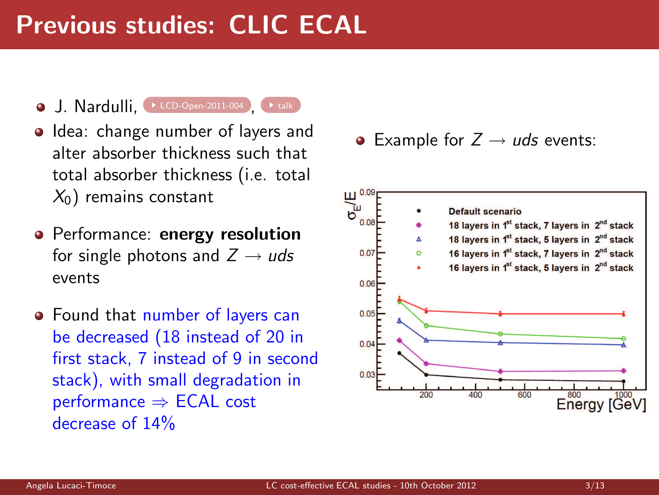# Previous studies: CLIC ECAL

- $J.$  Nardulli,  $\rightarrow$  [LCD-Open-2011-004](https://edms.cern.ch/document/1172738) ,  $\rightarrow$  [talk](https://indico.cern.ch/getFile.py/access?contribId=0&resId=1&materialId=slides&confId=165169)
	-
- Idea: change number of layers and alter absorber thickness such that total absorber thickness (i.e. total  $X_0$ ) remains constant
- Performance: energy resolution for single photons and  $Z \rightarrow u ds$ events
- Found that number of layers can be decreased (18 instead of 20 in first stack, 7 instead of 9 in second stack), with small degradation in performance ⇒ ECAL cost decrease of 14%

• Example for  $Z \rightarrow u ds$  events:

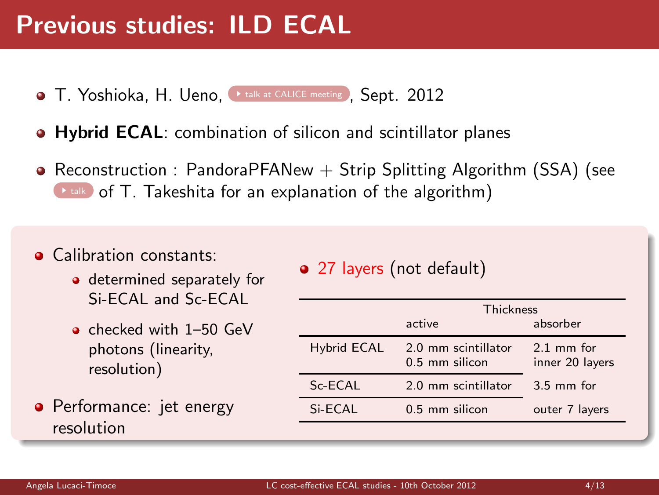# Previous studies: ILD ECAL

- **T. Yoshioka, H. Ueno, I [talk at CALICE meeting](http://ilcagenda.linearcollider.org/getFile.py/access?contribId=53&sessionId=9&resId=0&materialId=slides&confId=5686) , Sept. 2012**
- **Hybrid ECAL:** combination of silicon and scintillator planes
- Reconstruction : PandoraPFANew  $+$  Strip Splitting Algorithm (SSA) (see  $\rightarrow$  [talk](http://ilcagenda.linearcollider.org/getFile.py/access?contribId=52&sessionId=9&resId=0&materialId=slides&confId=5686) of T. Takeshita for an explanation of the algorithm)
- **a** Calibration constants:
	- determined separately for Si-ECAL and Sc-ECAL
	- o checked with 1–50 GeV photons (linearity, resolution)

**•** Performance: jet energy resolution

#### • 27 layers (not default)

|                    | Thickness                             |                                |
|--------------------|---------------------------------------|--------------------------------|
|                    | active                                | absorber                       |
| <b>Hybrid ECAL</b> | 2.0 mm scintillator<br>0.5 mm silicon | $21$ mm for<br>inner 20 layers |
| Sc-ECAL            | 2.0 mm scintillator                   | $3.5$ mm for                   |
| Si-ECAL            | $0.5$ mm silicon                      | outer 7 layers                 |
|                    |                                       |                                |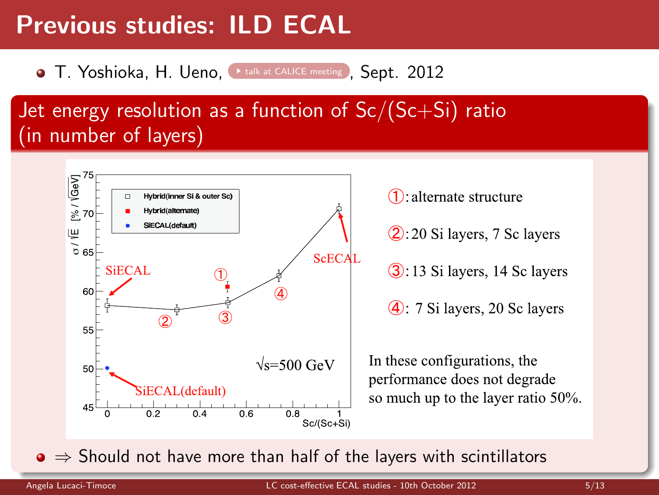# Previous studies: ILD ECAL

**• T. Yoshioka, H. Ueno, Leak at CALICE meeting , Sept. 2012** 

### Jet energy resolution as a function of  $Sc/(Sc+Si)$  ratio (in number of layers)



 $\bullet \Rightarrow$  Should not have more than half of the layers with scintillators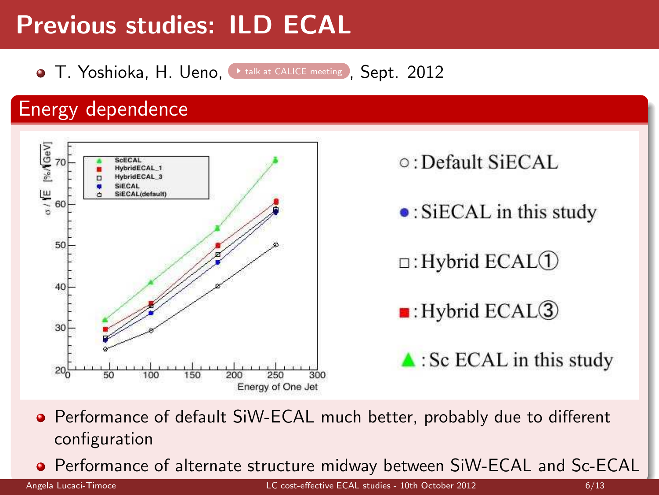# Previous studies: ILD ECAL

**• T. Yoshioka, H. Ueno, Leak at CALICE meeting , Sept. 2012** 

### Energy dependence



- **•** Performance of default SiW-ECAL much better, probably due to different configuration
- Performance of alternate structure midway between SiW-ECAL and Sc-ECAL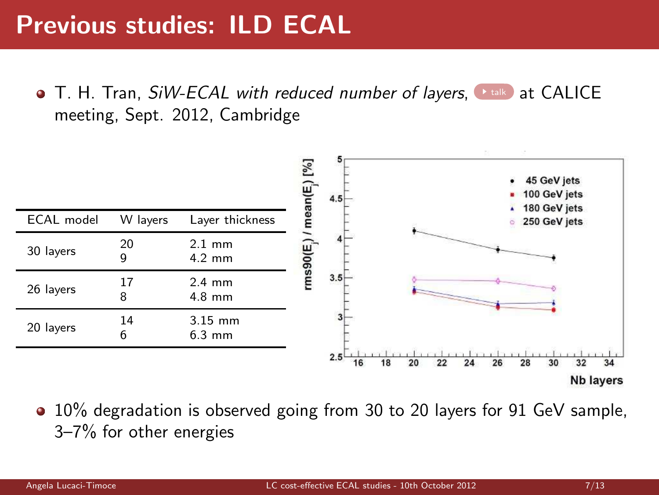T. H. Tran, *SiW-ECAL with reduced number of layers*, ★[talk](http://ilcagenda.linearcollider.org/getFile.py/access?contribId=50&sessionId=9&resId=0&materialId=slides&confId=5686), at CALICE meeting, Sept. 2012, Cambridge



• 10% degradation is observed going from 30 to 20 layers for 91 GeV sample, 3–7% for other energies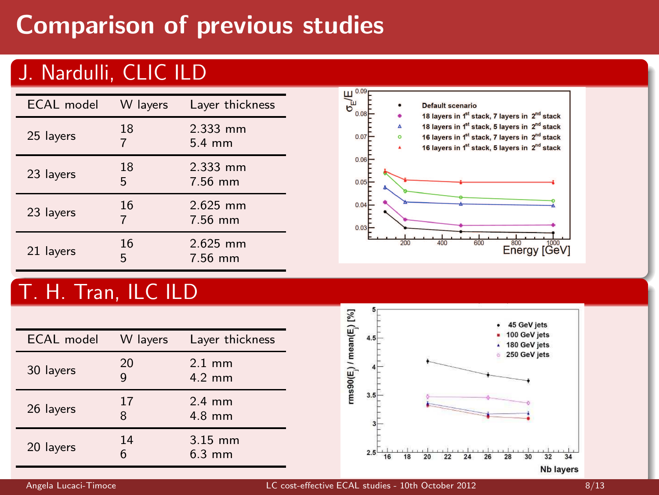# Comparison of previous studies

### J. Nardulli, CLIC ILD

| <b>ECAL</b> model | W layers | Layer thickness              |
|-------------------|----------|------------------------------|
| 25 layers         | 18       | 2.333 mm<br>$5.4 \text{ mm}$ |
| 23 layers         | 18<br>5  | 2.333 mm<br>7.56 mm          |
| 23 layers         | 16<br>7  | $2.625$ mm<br>7.56 mm        |
| 21 layers         | 16<br>5  | $2.625$ mm<br>7.56 mm        |



### T. H. Tran, ILC ILD

| <b>ECAL</b> model | W layers | Layer thickness               |
|-------------------|----------|-------------------------------|
| 30 layers         | 20<br>g  | $2.1$ mm<br>$4.2 \text{ mm}$  |
| 26 layers         | 17<br>8  | $2.4$ mm<br>$4.8$ mm          |
| 20 layers         | 14<br>6  | $3.15$ mm<br>$6.3 \text{ mm}$ |

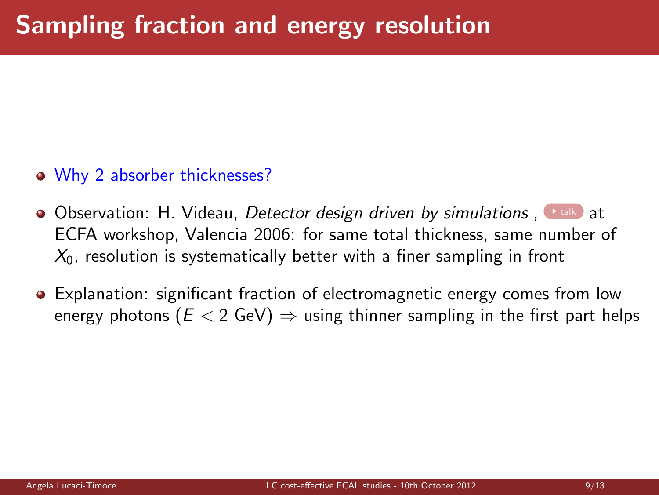- Why 2 absorber thicknesses?
- Observation: H. Videau, *Detector design driven by simulations* , I [talk](http://ilcagenda.linearcollider.org/getFile.py/access?contribId=108&sessionId=6&resId=0&materialId=slides&confId=1049) at ECFA workshop, Valencia 2006: for same total thickness, same number of  $X<sub>0</sub>$ , resolution is systematically better with a finer sampling in front
- **Explanation: significant fraction of electromagnetic energy comes from low** energy photons ( $E < 2$  GeV)  $\Rightarrow$  using thinner sampling in the first part helps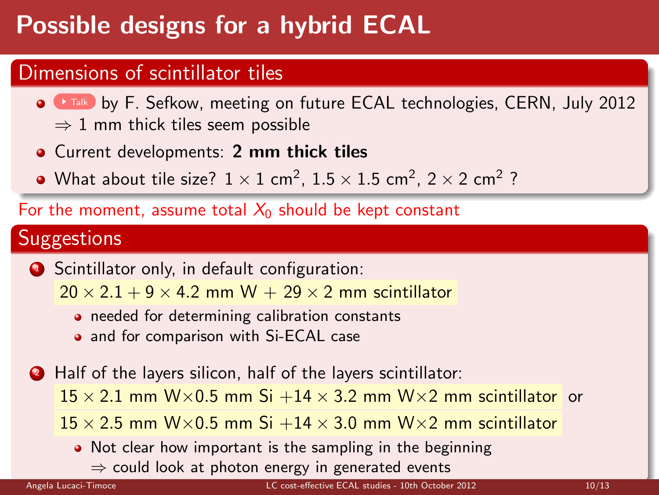# Possible designs for a hybrid ECAL

#### Dimensions of scintillator tiles

- **O [Talk](https://indico.cern.ch/getFile.py/access?contribId=1&resId=0&materialId=1&confId=201607)** by F. Sefkow, meeting on future ECAL technologies, CERN, July 2012  $\Rightarrow$  1 mm thick tiles seem possible
- **Current developments: 2 mm thick tiles**
- What about tile size?  $1 \times 1$  cm<sup>2</sup>,  $1.5 \times 1.5$  cm<sup>2</sup>,  $2 \times 2$  cm<sup>2</sup> ?

For the moment, assume total  $X_0$  should be kept constant

### **Suggestions**

**1** Scintillator only, in default configuration:

 $20 \times 2.1 + 9 \times 4.2$  mm W + 29  $\times$  2 mm scintillator

- **•** needed for determining calibration constants
- and for comparison with Si-ECAL case

<sup>2</sup> Half of the layers silicon, half of the layers scintillator:

 $15 \times 2.1$  mm W $\times$ 0.5 mm Si +14  $\times$  3.2 mm W $\times$ 2 mm scintillator or

 $15 \times 2.5$  mm W $\times$ 0.5 mm Si +14  $\times$  3.0 mm W $\times$ 2 mm scintillator

• Not clear how important is the sampling in the beginning  $\Rightarrow$  could look at photon energy in generated events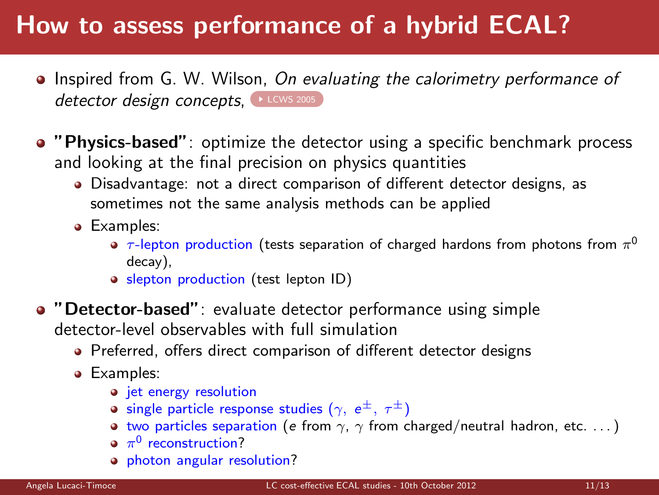# How to assess performance of a hybrid ECAL?

- Inspired from G. W. Wilson, *On evaluating the calorimetry performance of* detector design concepts, LECWS 2005
- "Physics-based": optimize the detector using a specific benchmark process and looking at the final precision on physics quantities
	- Disadvantage: not a direct comparison of different detector designs, as sometimes not the same analysis methods can be applied
	- Examples:
		- $\tau$ -lepton production (tests separation of charged hardons from photons from  $\pi^0$ decay),
		- slepton production (test lepton ID)
- "Detector-based": evaluate detector performance using simple detector-level observables with full simulation
	- Preferred, offers direct comparison of different detector designs
	- **•** Examples:
		- jet energy resolution
		- **•** single particle response studies ( $\gamma$ ,  $e^{\pm}$ ,  $\tau^{\pm}$ )
		- two particles separation (e from  $\gamma$ ,  $\gamma$  from charged/neutral hadron, etc. ...)
		- $\pi^0$  reconstruction?
		- **•** photon angular resolution?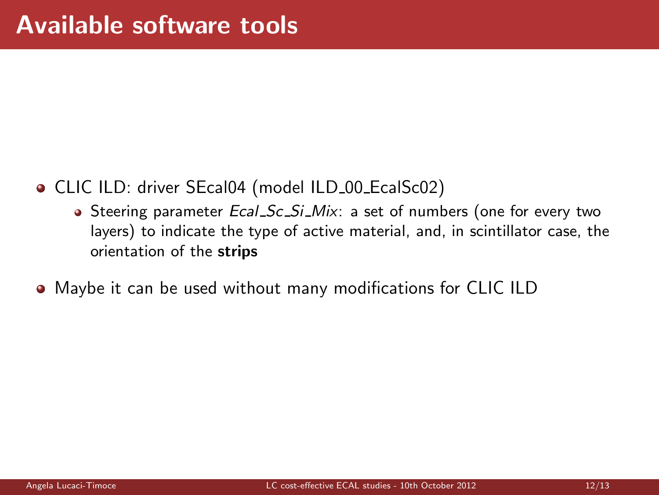- CLIC ILD: driver SEcal04 (model ILD 00 EcalSc02)
	- Steering parameter *Ecal Sc Si Mix*: a set of numbers (one for every two layers) to indicate the type of active material, and, in scintillator case, the orientation of the strips
- Maybe it can be used without many modifications for CLIC ILD